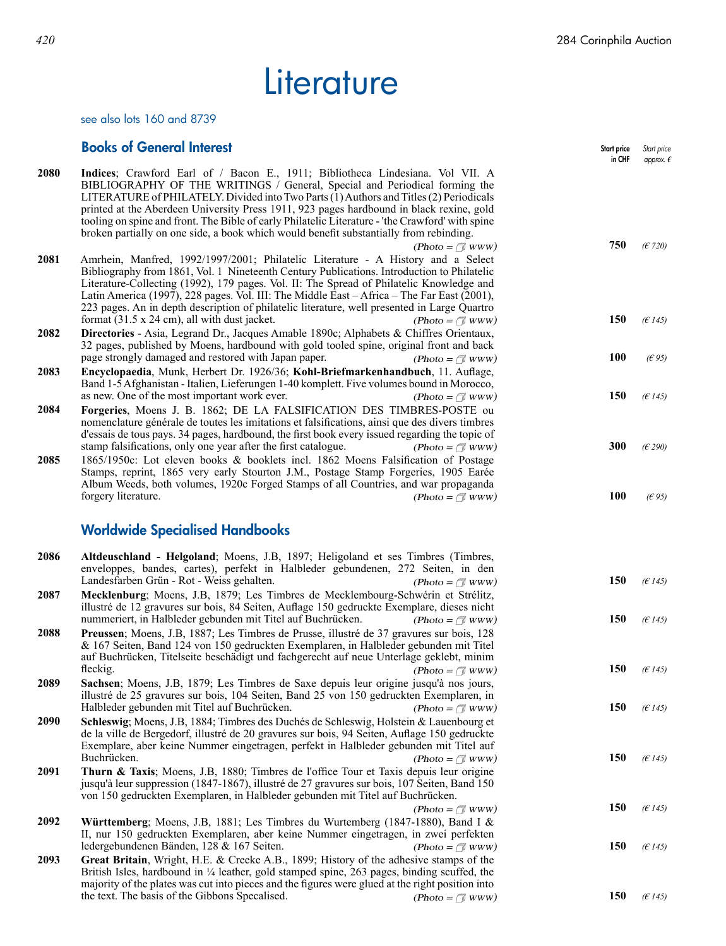# **Literature**

### see also lots 160 and 8739

|      | <b>Books of General Interest</b>                                                                                                                                                                                                                                                                                                                                                                                                                                                                                                                     | Start price<br>in CHF | Start price<br>approx. $\epsilon$ |
|------|------------------------------------------------------------------------------------------------------------------------------------------------------------------------------------------------------------------------------------------------------------------------------------------------------------------------------------------------------------------------------------------------------------------------------------------------------------------------------------------------------------------------------------------------------|-----------------------|-----------------------------------|
| 2080 | Indices; Crawford Earl of / Bacon E., 1911; Bibliotheca Lindesiana. Vol VII. A<br>BIBLIOGRAPHY OF THE WRITINGS / General, Special and Periodical forming the<br>LITERATURE of PHILATELY. Divided into Two Parts $(1)$ Authors and Titles $(2)$ Periodicals<br>printed at the Aberdeen University Press 1911, 923 pages hardbound in black rexine, gold<br>tooling on spine and front. The Bible of early Philatelic Literature - 'the Crawford' with spine<br>broken partially on one side, a book which would benefit substantially from rebinding. |                       |                                   |
| 2081 | $(Photo = \sqrt{\pi}$ www)<br>Amrhein, Manfred, 1992/1997/2001; Philatelic Literature - A History and a Select<br>Bibliography from 1861, Vol. 1 Nineteenth Century Publications. Introduction to Philatelic<br>Literature-Collecting (1992), 179 pages. Vol. II: The Spread of Philatelic Knowledge and<br>Latin America (1997), 228 pages. Vol. III: The Middle East $-A$ frica $-$ The Far East (2001),<br>223 pages. An in depth description of philatelic literature, well presented in Large Quartro                                           | 750                   | (E720)                            |
| 2082 | format (31.5 x 24 cm), all with dust jacket.<br>$(Photo = \sqrt{\pi}$ www)<br>Directories - Asia, Legrand Dr., Jacques Amable 1890c; Alphabets & Chiffres Orientaux,<br>32 pages, published by Moens, hardbound with gold tooled spine, original front and back                                                                                                                                                                                                                                                                                      | 150                   | (E145)                            |
| 2083 | page strongly damaged and restored with Japan paper.<br>$(Photo = \sqrt{\sqrt{N}}$ WWW)<br>Encyclopaedia, Munk, Herbert Dr. 1926/36; Kohl-Briefmarkenhandbuch, 11. Auflage,<br>Band 1-5 Afghanistan - Italien, Lieferungen 1-40 komplett. Five volumes bound in Morocco,                                                                                                                                                                                                                                                                             | 100                   | (E95)                             |
| 2084 | as new. One of the most important work ever.<br>$(Photo = \sqrt{\pi}$ www)<br><b>Forgeries, Moens J. B. 1862; DE LA FALSIFICATION DES TIMBRES-POSTE ou</b><br>nomenclature générale de toutes les imitations et falsifications, ainsi que des divers timbres<br>d'essais de tous pays. 34 pages, hardbound, the first book every issued regarding the topic of<br>stamp falsifications, only one year after the first catalogue.<br>$(Photo = \sqrt{\pi}$ www)                                                                                       | 150<br>300            | (E145)<br>(E290)                  |
| 2085 | 1865/1950c: Lot eleven books & booklets incl. 1862 Moens Falsification of Postage<br>Stamps, reprint, 1865 very early Stourton J.M., Postage Stamp Forgeries, 1905 Earée<br>Album Weeds, both volumes, 1920c Forged Stamps of all Countries, and war propaganda<br>forgery literature.<br>$(Photo = \sqrt{\pi}$ www)                                                                                                                                                                                                                                 | 100                   | (E95)                             |
|      | <b>Worldwide Specialised Handbooks</b>                                                                                                                                                                                                                                                                                                                                                                                                                                                                                                               |                       |                                   |
| 2086 | Altdeuschland - Helgoland; Moens, J.B., 1897; Heligoland et ses Timbres (Timbres,<br>enveloppes, bandes, cartes), perfekt in Halbleder gebundenen, 272 Seiten, in den<br>Landesfarben Grün - Rot - Weiss gehalten.<br>$(Photo = \sqrt{\pi}$ www)                                                                                                                                                                                                                                                                                                     | 150                   | (E145)                            |
| 2087 | Mecklenburg; Moens, J.B., 1879; Les Timbres de Mecklembourg-Schwérin et Strélitz,<br>illustré de 12 gravures sur bois, 84 Seiten, Auflage 150 gedruckte Exemplare, dieses nicht<br>nummeriert, in Halbleder gebunden mit Titel auf Buchrücken.<br>$(Photo = \sqrt{\pi}$ www)                                                                                                                                                                                                                                                                         | 150                   | (E145)                            |
| 2088 | Preussen; Moens, J.B., 1887; Les Timbres de Prusse, illustré de 37 gravures sur bois, 128<br>& 167 Seiten, Band 124 von 150 gedruckten Exemplaren, in Halbleder gebunden mit Titel<br>auf Buchrücken, Titelseite beschädigt und fachgerecht auf neue Unterlage geklebt, minim<br>fleckig.<br>$(Photo = \sqrt{\pi}$ www)                                                                                                                                                                                                                              | 150                   | (E145)                            |
| 2089 | Sachsen; Moens, J.B., 1879; Les Timbres de Saxe depuis leur origine jusqu'à nos jours,<br>illustré de 25 gravures sur bois, 104 Seiten, Band 25 von 150 gedruckten Exemplaren, in<br>Halbleder gebunden mit Titel auf Buchrücken.<br>$(Photo = \sqrt{\pi}$ www)                                                                                                                                                                                                                                                                                      | 150                   | (E145)                            |
| 2090 | Schleswig; Moens, J.B., 1884; Timbres des Duchés de Schleswig, Holstein & Lauenbourg et<br>de la ville de Bergedorf, illustré de 20 gravures sur bois, 94 Seiten, Auflage 150 gedruckte<br>Exemplare, aber keine Nummer eingetragen, perfekt in Halbleder gebunden mit Titel auf                                                                                                                                                                                                                                                                     |                       |                                   |
|      | Buchrücken.<br>$(Photo - \blacksquare$ www)                                                                                                                                                                                                                                                                                                                                                                                                                                                                                                          | 150                   | (F145)                            |

Buchrücken. **150** *(€ 145)* (Photo = 1 www) **Thurn & Taxis**; Moens, J.B, 1880; Timbres de l'office Tour et Taxis depuis leur origine jusqu'à leur suppression (1847-1867), illustré de 27 gravures sur bois, 107 Seiten, Band 150 von 150 gedruckten Exemplaren, in Halbleder gebunden mit Titel auf Buchrücken. **2091**

 $(Photo = \textcircled{1} www)$  150  $(6145)$ 

**Württemberg**; Moens, J.B, 1881; Les Timbres du Wurtemberg (1847-1880), Band I & II, nur 150 gedruckten Exemplaren, aber keine Nummer eingetragen, in zwei perfekten ledergebundenen Bänden, 128 & 167 Seiten. **150** *(€ 145)* **Great Britain**, Wright, H.E. & Creeke A.B., 1899; History of the adhesive stamps of the British Isles, hardbound in 1/4 leather, gold stamped spine, 263 pages, binding scuffed, the majority of the plates was cut into pieces and the figures were glued at the right position into the text. The basis of the Gibbons Specalised. **150** *(E 145)* **150** *(E 145)* **150** *(E 145)* **2092** (Photo =  $\sqrt{\sqrt{}}$  www) **2093** (Photo =  $\textcircled{\tiny\textsf{T}}$  www)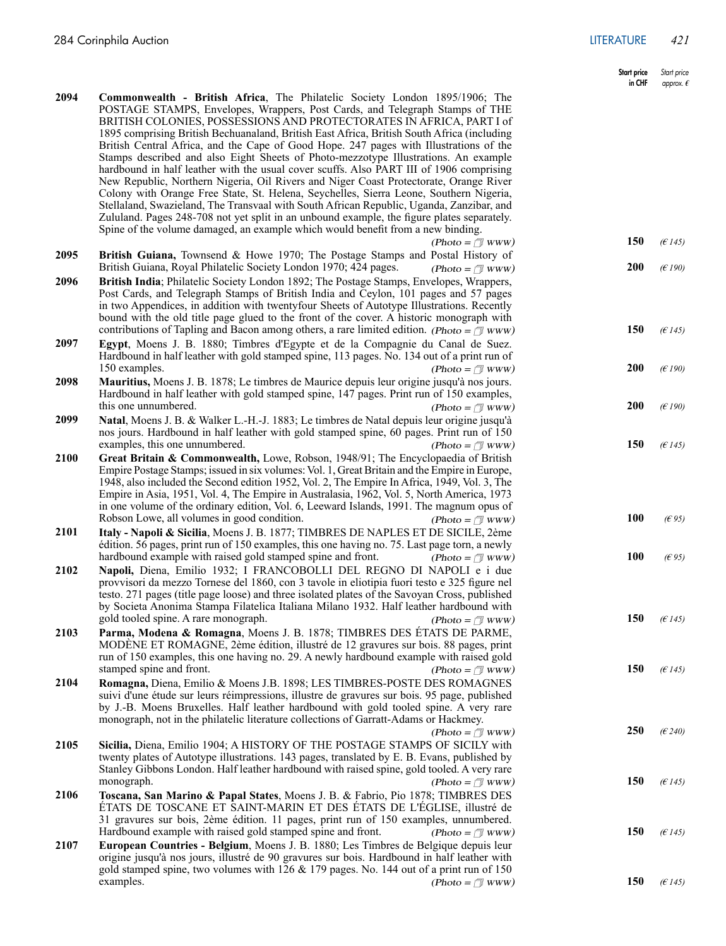|      |                                                                                                                                                                                                                                                                                                                                                                                                                                                                                                                                                                                                                                                                                                                                                                                                          | Start price<br>in CHF | Start price<br>approx. $\boldsymbol{\ell}$ |
|------|----------------------------------------------------------------------------------------------------------------------------------------------------------------------------------------------------------------------------------------------------------------------------------------------------------------------------------------------------------------------------------------------------------------------------------------------------------------------------------------------------------------------------------------------------------------------------------------------------------------------------------------------------------------------------------------------------------------------------------------------------------------------------------------------------------|-----------------------|--------------------------------------------|
| 2094 | <b>Commonwealth - British Africa</b> , The Philatelic Society London 1895/1906; The<br>POSTAGE STAMPS, Envelopes, Wrappers, Post Cards, and Telegraph Stamps of THE<br>BRITISH COLONIES, POSSESSIONS AND PROTECTORATES IN AFRICA, PART I of<br>1895 comprising British Bechuanaland, British East Africa, British South Africa (including<br>British Central Africa, and the Cape of Good Hope. 247 pages with Illustrations of the<br>Stamps described and also Eight Sheets of Photo-mezzotype Illustrations. An example<br>hardbound in half leather with the usual cover scuffs. Also PART III of 1906 comprising<br>New Republic, Northern Nigeria, Oil Rivers and Niger Coast Protectorate, Orange River<br>Colony with Orange Free State, St. Helena, Seychelles, Sierra Leone, Southern Nigeria, |                       |                                            |
|      | Stellaland, Swazieland, The Transvaal with South African Republic, Uganda, Zanzibar, and<br>Zululand. Pages 248-708 not yet split in an unbound example, the figure plates separately.<br>Spine of the volume damaged, an example which would benefit from a new binding.                                                                                                                                                                                                                                                                                                                                                                                                                                                                                                                                |                       |                                            |
| 2095 | $(Photo = \sqrt{7}$ www)<br><b>British Guiana,</b> Townsend & Howe 1970; The Postage Stamps and Postal History of                                                                                                                                                                                                                                                                                                                                                                                                                                                                                                                                                                                                                                                                                        | 150                   | (E145)                                     |
| 2096 | British Guiana, Royal Philatelic Society London 1970; 424 pages.<br>$(Photo = \sqrt{\pi} WW)$<br>British India; Philatelic Society London 1892; The Postage Stamps, Envelopes, Wrappers,<br>Post Cards, and Telegraph Stamps of British India and Ceylon, 101 pages and 57 pages<br>in two Appendices, in addition with twentyfour Sheets of Autotype Illustrations. Recently<br>bound with the old title page glued to the front of the cover. A historic monograph with                                                                                                                                                                                                                                                                                                                                | 200                   | (E190)                                     |
| 2097 | contributions of Tapling and Bacon among others, a rare limited edition. ( <i>Photo</i> = $\hat{\pi}$ www)<br>Egypt, Moens J. B. 1880; Timbres d'Egypte et de la Compagnie du Canal de Suez.<br>Hardbound in half leather with gold stamped spine, 113 pages. No. 134 out of a print run of                                                                                                                                                                                                                                                                                                                                                                                                                                                                                                              | 150                   | (E145)                                     |
| 2098 | 150 examples.<br>$(Photo = \sqrt{7}$ www)<br>Mauritius, Moens J. B. 1878; Le timbres de Maurice depuis leur origine jusqu'à nos jours.<br>Hardbound in half leather with gold stamped spine, 147 pages. Print run of 150 examples,                                                                                                                                                                                                                                                                                                                                                                                                                                                                                                                                                                       | 200                   | (E190)                                     |
| 2099 | this one unnumbered.<br>$(Photo = \sqrt{\pi}$ www)<br><b>Natal,</b> Moens J. B. & Walker L.-H.-J. 1883; Le timbres de Natal depuis leur origine jusqu'à<br>nos jours. Hardbound in half leather with gold stamped spine, 60 pages. Print run of 150                                                                                                                                                                                                                                                                                                                                                                                                                                                                                                                                                      | 200                   | (E190)                                     |
| 2100 | examples, this one unnumbered.<br>$(Photo = \sqrt{\pi} WW)$<br>Great Britain & Commonwealth, Lowe, Robson, 1948/91; The Encyclopaedia of British<br>Empire Postage Stamps; issued in six volumes: Vol. 1, Great Britain and the Empire in Europe,<br>1948, also included the Second edition 1952, Vol. 2, The Empire In Africa, 1949, Vol. 3, The<br>Empire in Asia, 1951, Vol. 4, The Empire in Australasia, 1962, Vol. 5, North America, 1973<br>in one volume of the ordinary edition, Vol. 6, Leeward Islands, 1991. The magnum opus of                                                                                                                                                                                                                                                              | 150                   | (E145)                                     |
| 2101 | Robson Lowe, all volumes in good condition.<br>$(Photo = \sqrt{\pi}$ www)<br>Italy - Napoli & Sicilia, Moens J. B. 1877; TIMBRES DE NAPLES ET DE SICILE, 2ème<br>édition. 56 pages, print run of 150 examples, this one having no. 75. Last page torn, a newly                                                                                                                                                                                                                                                                                                                                                                                                                                                                                                                                           | 100                   | (E95)                                      |
| 2102 | hardbound example with raised gold stamped spine and front.<br>$(Photo = \sqrt{\pi}$ www)<br>Napoli, Diena, Emilio 1932; I FRANCOBOLLI DEL REGNO DI NAPOLI e i due<br>provvisori da mezzo Tornese del 1860, con 3 tavole in eliotipia fuori testo e 325 figure nel<br>testo. 271 pages (title page loose) and three isolated plates of the Savoyan Cross, published<br>by Societa Anonima Stampa Filatelica Italiana Milano 1932. Half leather hardbound with                                                                                                                                                                                                                                                                                                                                            | 100                   | (E95)                                      |
| 2103 | gold tooled spine. A rare monograph.<br>$(Photo = \sqrt{7}$ www)<br>Parma, Modena & Romagna, Moens J. B. 1878; TIMBRES DES ÉTATS DE PARME,<br>MODÈNE ET ROMAGNE, 2ème édition, illustré de 12 gravures sur bois. 88 pages, print<br>run of 150 examples, this one having no. 29. A newly hardbound example with raised gold                                                                                                                                                                                                                                                                                                                                                                                                                                                                              | 150                   | (E145)                                     |
| 2104 | stamped spine and front.<br>$(Photo = \sqrt{\pi}$ www)<br>Romagna, Diena, Emilio & Moens J.B. 1898; LES TIMBRES-POSTE DES ROMAGNES<br>suivi d'une étude sur leurs réimpressions, illustre de gravures sur bois. 95 page, published<br>by J.-B. Moens Bruxelles. Half leather hardbound with gold tooled spine. A very rare<br>monograph, not in the philatelic literature collections of Garratt-Adams or Hackmey.                                                                                                                                                                                                                                                                                                                                                                                       | 150                   | (E145)                                     |
| 2105 | $(Photo = \sqrt{\pi} WW)$<br>Sicilia, Diena, Emilio 1904; A HISTORY OF THE POSTAGE STAMPS OF SICILY with<br>twenty plates of Autotype illustrations. 143 pages, translated by E. B. Evans, published by<br>Stanley Gibbons London. Half leather hardbound with raised spine, gold tooled. A very rare                                                                                                                                                                                                                                                                                                                                                                                                                                                                                                    | 250                   | (E240)                                     |
| 2106 | monograph.<br>$(Photo = \sqrt{7}$ www)<br>Toscana, San Marino & Papal States, Moens J. B. & Fabrio, Pio 1878; TIMBRES DES<br>ÉTATS DE TOSCANE ET SAINT-MARIN ET DES ÉTATS DE L'ÉGLISE, illustré de                                                                                                                                                                                                                                                                                                                                                                                                                                                                                                                                                                                                       | 150                   | (E145)                                     |
|      | 31 gravures sur bois, 2ème édition. 11 pages, print run of 150 examples, unnumbered.<br>Hardbound example with raised gold stamped spine and front.<br>$(Photo = \sqrt{\sqrt{N}}$ www)                                                                                                                                                                                                                                                                                                                                                                                                                                                                                                                                                                                                                   | 150                   | (E145)                                     |
| 2107 | European Countries - Belgium, Moens J. B. 1880; Les Timbres de Belgique depuis leur<br>origine jusqu'à nos jours, illustré de 90 gravures sur bois. Hardbound in half leather with<br>gold stamped spine, two volumes with $126 \& 179$ pages. No. 144 out of a print run of 150                                                                                                                                                                                                                                                                                                                                                                                                                                                                                                                         |                       |                                            |
|      | examples.<br>$(Photo = \sqrt{7}$ www)                                                                                                                                                                                                                                                                                                                                                                                                                                                                                                                                                                                                                                                                                                                                                                    | 150                   | (E145)                                     |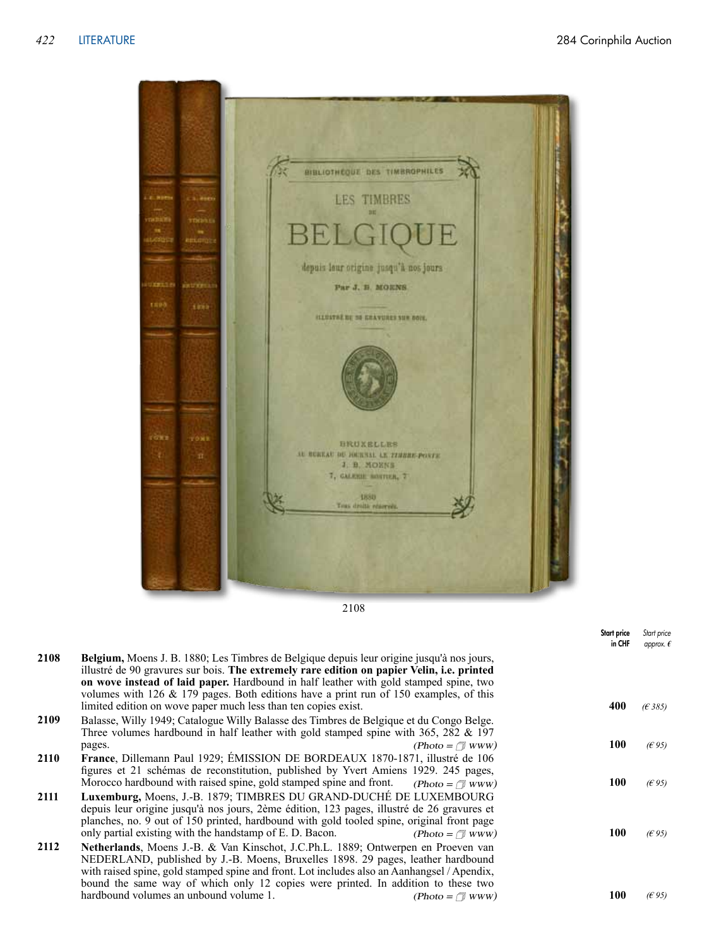

|      |                                                                                                                                                                                                                                                                                                                                                                                                                                                | Start price<br>in CHF | Start price<br>approx. $\epsilon$ |
|------|------------------------------------------------------------------------------------------------------------------------------------------------------------------------------------------------------------------------------------------------------------------------------------------------------------------------------------------------------------------------------------------------------------------------------------------------|-----------------------|-----------------------------------|
| 2108 | Belgium, Moens J. B. 1880; Les Timbres de Belgique depuis leur origine jusqu'à nos jours,<br>illustré de 90 gravures sur bois. The extremely rare edition on papier Velin, i.e. printed<br>on wove instead of laid paper. Hardbound in half leather with gold stamped spine, two<br>volumes with 126 $\&$ 179 pages. Both editions have a print run of 150 examples, of this<br>limited edition on wove paper much less than ten copies exist. | 400                   | (E385)                            |
| 2109 | Balasse, Willy 1949; Catalogue Willy Balasse des Timbres de Belgique et du Congo Belge.<br>Three volumes hardbound in half leather with gold stamped spine with $365$ , $282 \& 197$                                                                                                                                                                                                                                                           |                       |                                   |
|      | $(Photo = \sqrt{\pi}$ www)<br>pages.                                                                                                                                                                                                                                                                                                                                                                                                           | 100                   | (E95)                             |
| 2110 | France, Dillemann Paul 1929; ÉMISSION DE BORDEAUX 1870-1871, illustré de 106<br>figures et 21 schémas de reconstitution, published by Yvert Amiens 1929. 245 pages,                                                                                                                                                                                                                                                                            |                       |                                   |
|      | Morocco hardbound with raised spine, gold stamped spine and front.<br>$(Photo = \pi$ www)                                                                                                                                                                                                                                                                                                                                                      | 100                   | (E95)                             |
| 2111 | Luxemburg, Moens, J.-B. 1879; TIMBRES DU GRAND-DUCHÉ DE LUXEMBOURG<br>depuis leur origine jusqu'à nos jours, 2ème édition, 123 pages, illustré de 26 gravures et<br>planches, no. 9 out of 150 printed, hardbound with gold tooled spine, original front page                                                                                                                                                                                  | 100                   |                                   |
|      | only partial existing with the handstamp of E. D. Bacon.<br>$(Photo = \pi$ www)                                                                                                                                                                                                                                                                                                                                                                |                       | (E95)                             |
| 2112 | <b>Netherlands</b> , Moens J.-B. & Van Kinschot, J.C.Ph.L. 1889; Ontwerpen en Proeven van<br>NEDERLAND, published by J.-B. Moens, Bruxelles 1898. 29 pages, leather hardbound<br>with raised spine, gold stamped spine and front. Lot includes also an Aanhangsel / Apendix,<br>bound the same way of which only 12 copies were printed. In addition to these two                                                                              |                       |                                   |
|      | hardbound volumes an unbound volume 1.<br>$(Photo = \sqrt{\sqrt{N}}$ WWW)                                                                                                                                                                                                                                                                                                                                                                      | 100                   | (E95)                             |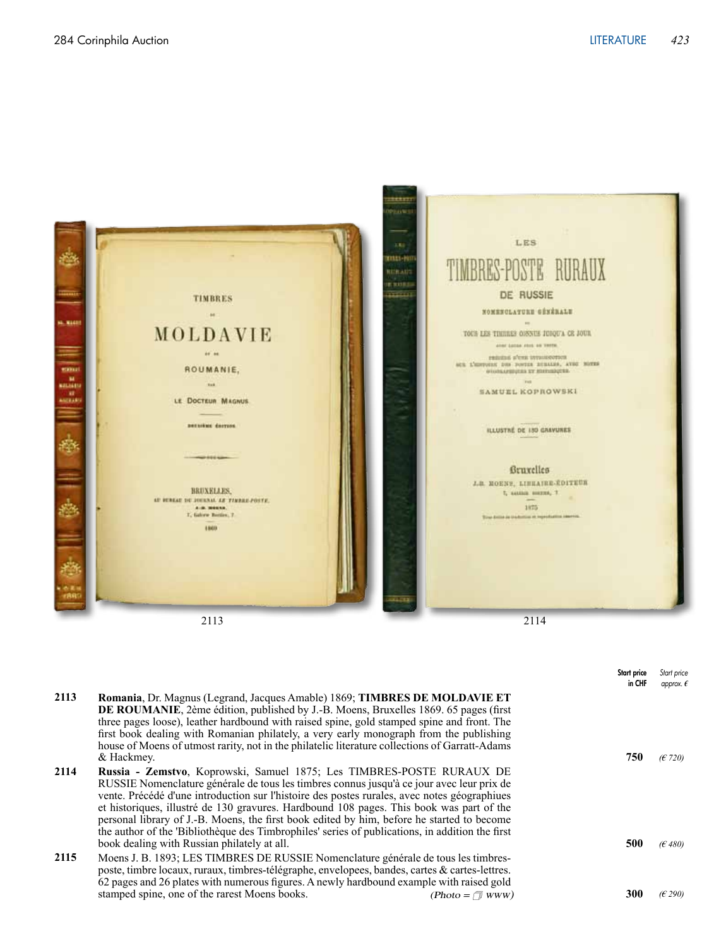

|      |                                                                                                                                                                                                                                                                                                                                                                                                                                                                                                                                                                 | <b>Start price</b><br>in CHF | Start price<br>approx. $\epsilon$ |
|------|-----------------------------------------------------------------------------------------------------------------------------------------------------------------------------------------------------------------------------------------------------------------------------------------------------------------------------------------------------------------------------------------------------------------------------------------------------------------------------------------------------------------------------------------------------------------|------------------------------|-----------------------------------|
| 2113 | Romania, Dr. Magnus (Legrand, Jacques Amable) 1869; TIMBRES DE MOLDAVIE ET<br><b>DE ROUMANIE</b> , 2ème édition, published by J.-B. Moens, Bruxelles 1869. 65 pages (first<br>three pages loose), leather hardbound with raised spine, gold stamped spine and front. The<br>first book dealing with Romanian philately, a very early monograph from the publishing<br>house of Moens of utmost rarity, not in the philatelic literature collections of Garratt-Adams<br>& Hackmey.                                                                              | 750                          | (E720)                            |
| 2114 | Russia - Zemstvo, Koprowski, Samuel 1875; Les TIMBRES-POSTE RURAUX DE<br>RUSSIE Nomenclature générale de tous les timbres connus jusqu'à ce jour avec leur prix de<br>vente. Précédé d'une introduction sur l'histoire des postes rurales, avec notes géographiues<br>et historiques, illustré de 130 gravures. Hardbound 108 pages. This book was part of the<br>personal library of J.-B. Moens, the first book edited by him, before he started to become<br>the author of the 'Bibliothèque des Timbrophiles' series of publications, in addition the first |                              |                                   |
|      | book dealing with Russian philately at all.                                                                                                                                                                                                                                                                                                                                                                                                                                                                                                                     | 500                          | (E480)                            |
| 2115 | Moens J. B. 1893; LES TIMBRES DE RUSSIE Nomenclature générale de tous les timbres-<br>poste, timbre locaux, ruraux, timbres-télégraphe, envelopees, bandes, cartes & cartes-lettres.<br>62 pages and 26 plates with numerous figures. A newly hardbound example with raised gold                                                                                                                                                                                                                                                                                |                              |                                   |
|      | stamped spine, one of the rarest Moens books.<br>$(Photo = \sqrt{\sqrt{N}}$ www)                                                                                                                                                                                                                                                                                                                                                                                                                                                                                | 300                          | (E290)                            |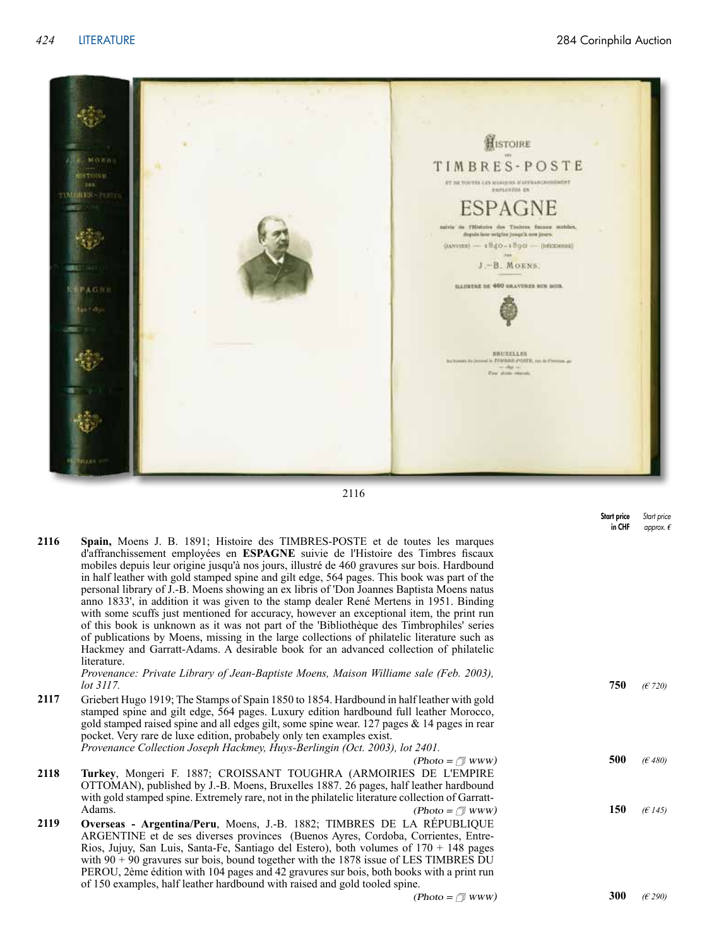

|      |                                                                                                                                                                                                                                                                                                                                                                                                                                                                                                                                                                                                                                                                                                                                                                                                                                                                                                                                                     | <b>Start price</b><br>in CHF | Start price<br>approx. $\epsilon$ |
|------|-----------------------------------------------------------------------------------------------------------------------------------------------------------------------------------------------------------------------------------------------------------------------------------------------------------------------------------------------------------------------------------------------------------------------------------------------------------------------------------------------------------------------------------------------------------------------------------------------------------------------------------------------------------------------------------------------------------------------------------------------------------------------------------------------------------------------------------------------------------------------------------------------------------------------------------------------------|------------------------------|-----------------------------------|
| 2116 | Spain, Moens J. B. 1891; Histoire des TIMBRES-POSTE et de toutes les marques<br>d'affranchissement employées en ESPAGNE suivie de l'Histoire des Timbres fiscaux<br>mobiles depuis leur origine jusqu'à nos jours, illustré de 460 gravures sur bois. Hardbound<br>in half leather with gold stamped spine and gilt edge, 564 pages. This book was part of the<br>personal library of J.-B. Moens showing an ex libris of 'Don Joannes Baptista Moens natus<br>anno 1833', in addition it was given to the stamp dealer René Mertens in 1951. Binding<br>with some scuffs just mentioned for accuracy, however an exceptional item, the print run<br>of this book is unknown as it was not part of the 'Bibliothèque des Timbrophiles' series<br>of publications by Moens, missing in the large collections of philatelic literature such as<br>Hackmey and Garratt-Adams. A desirable book for an advanced collection of philatelic<br>literature. |                              |                                   |
|      | Provenance: Private Library of Jean-Baptiste Moens, Maison Williame sale (Feb. 2003),<br>lot 3117.                                                                                                                                                                                                                                                                                                                                                                                                                                                                                                                                                                                                                                                                                                                                                                                                                                                  | 750                          |                                   |
| 2117 | Griebert Hugo 1919; The Stamps of Spain 1850 to 1854. Hardbound in half leather with gold<br>stamped spine and gilt edge, 564 pages. Luxury edition hardbound full leather Morocco,<br>gold stamped raised spine and all edges gilt, some spine wear. 127 pages $\&$ 14 pages in rear<br>pocket. Very rare de luxe edition, probabely only ten examples exist.<br>Provenance Collection Joseph Hackmey, Huys-Berlingin (Oct. 2003), lot 2401.                                                                                                                                                                                                                                                                                                                                                                                                                                                                                                       |                              | (E720)                            |
|      | $(Photo = \sqrt{w}$ www)                                                                                                                                                                                                                                                                                                                                                                                                                                                                                                                                                                                                                                                                                                                                                                                                                                                                                                                            | 500                          | (E480)                            |
| 2118 | Turkey, Mongeri F. 1887; CROISSANT TOUGHRA (ARMOIRIES DE L'EMPIRE<br>OTTOMAN), published by J.-B. Moens, Bruxelles 1887. 26 pages, half leather hardbound<br>with gold stamped spine. Extremely rare, not in the philatelic literature collection of Garratt-                                                                                                                                                                                                                                                                                                                                                                                                                                                                                                                                                                                                                                                                                       |                              |                                   |
|      | Adams.<br>$(Photo = \sqrt{\pi} WW)$                                                                                                                                                                                                                                                                                                                                                                                                                                                                                                                                                                                                                                                                                                                                                                                                                                                                                                                 | 150                          | (E145)                            |
| 2119 | Overseas - Argentina/Peru, Moens, J.-B. 1882; TIMBRES DE LA RÉPUBLIQUE<br>ARGENTINE et de ses diverses provinces (Buenos Ayres, Cordoba, Corrientes, Entre-<br>Rios, Jujuy, San Luis, Santa-Fe, Santiago del Estero), both volumes of 170 + 148 pages<br>with $90 + 90$ gravures sur bois, bound together with the 1878 issue of LES TIMBRES DU<br>PEROU, 2ème édition with 104 pages and 42 gravures sur bois, both books with a print run<br>of 150 examples, half leather hardbound with raised and gold tooled spine.                                                                                                                                                                                                                                                                                                                                                                                                                           |                              |                                   |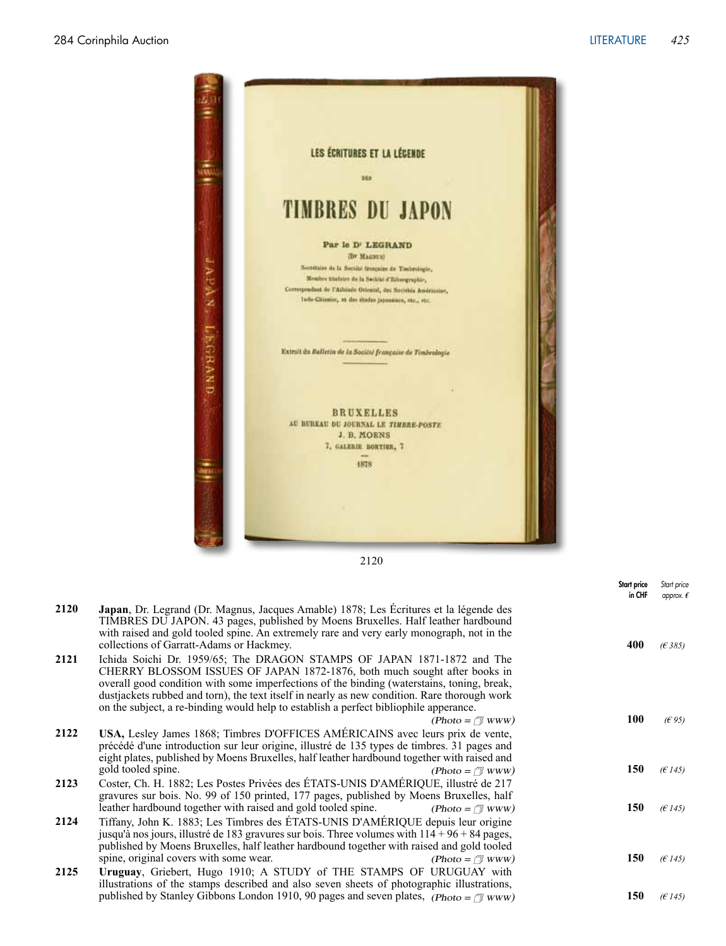

|      |                                                                                                                                                                                                                                                                                                                                                                                                                                             | <b>Start price</b><br>in CHF | Start price<br>approx. $\epsilon$ |
|------|---------------------------------------------------------------------------------------------------------------------------------------------------------------------------------------------------------------------------------------------------------------------------------------------------------------------------------------------------------------------------------------------------------------------------------------------|------------------------------|-----------------------------------|
| 2120 | Japan, Dr. Legrand (Dr. Magnus, Jacques Amable) 1878; Les Écritures et la légende des<br>TIMBRES DU JAPON. 43 pages, published by Moens Bruxelles. Half leather hardbound<br>with raised and gold tooled spine. An extremely rare and very early monograph, not in the<br>collections of Garratt-Adams or Hackmey.                                                                                                                          | 400                          | (E385)                            |
| 2121 | Ichida Soichi Dr. 1959/65; The DRAGON STAMPS OF JAPAN 1871-1872 and The<br>CHERRY BLOSSOM ISSUES OF JAPAN 1872-1876, both much sought after books in<br>overall good condition with some imperfections of the binding (waterstains, toning, break,<br>dustjackets rubbed and torn), the text itself in nearly as new condition. Rare thorough work<br>on the subject, a re-binding would help to establish a perfect bibliophile apperance. |                              |                                   |
|      | $(Photo = \sqrt{\sqrt{N}}$ WWW)                                                                                                                                                                                                                                                                                                                                                                                                             | 100                          | (E95)                             |
| 2122 | USA, Lesley James 1868; Timbres D'OFFICES AMÉRICAINS avec leurs prix de vente,<br>précédé d'une introduction sur leur origine, illustré de 135 types de timbres. 31 pages and<br>eight plates, published by Moens Bruxelles, half leather hardbound together with raised and                                                                                                                                                                |                              |                                   |
|      | gold tooled spine.<br>$(Photo = \sqrt{\pi} WW)$                                                                                                                                                                                                                                                                                                                                                                                             | 150                          | (E145)                            |
| 2123 | Coster, Ch. H. 1882; Les Postes Privées des ÉTATS-UNIS D'AMÉRIQUE, illustré de 217<br>gravures sur bois. No. 99 of 150 printed, 177 pages, published by Moens Bruxelles, half<br>leather hardbound together with raised and gold tooled spine.<br>$(Photo = \sqrt{w}$ www)                                                                                                                                                                  | 150                          | (E145)                            |
| 2124 | Tiffany, John K. 1883; Les Timbres des ÉTATS-UNIS D'AMÉRIQUE depuis leur origine<br>jusqu'à nos jours, illustré de 183 gravures sur bois. Three volumes with $114 + 96 + 84$ pages,<br>published by Moens Bruxelles, half leather hardbound together with raised and gold tooled                                                                                                                                                            |                              |                                   |
|      | spine, original covers with some wear.<br>$(Photo = \sqrt{\pi} WW)$                                                                                                                                                                                                                                                                                                                                                                         | 150                          | (E145)                            |
| 2125 | Uruguay, Griebert, Hugo 1910; A STUDY of THE STAMPS OF URUGUAY with<br>illustrations of the stamps described and also seven sheets of photographic illustrations,                                                                                                                                                                                                                                                                           |                              |                                   |
|      | published by Stanley Gibbons London 1910, 90 pages and seven plates, (Photo = $\sqrt{\frac{m}{m}}$ www)                                                                                                                                                                                                                                                                                                                                     | 150                          | (E145)                            |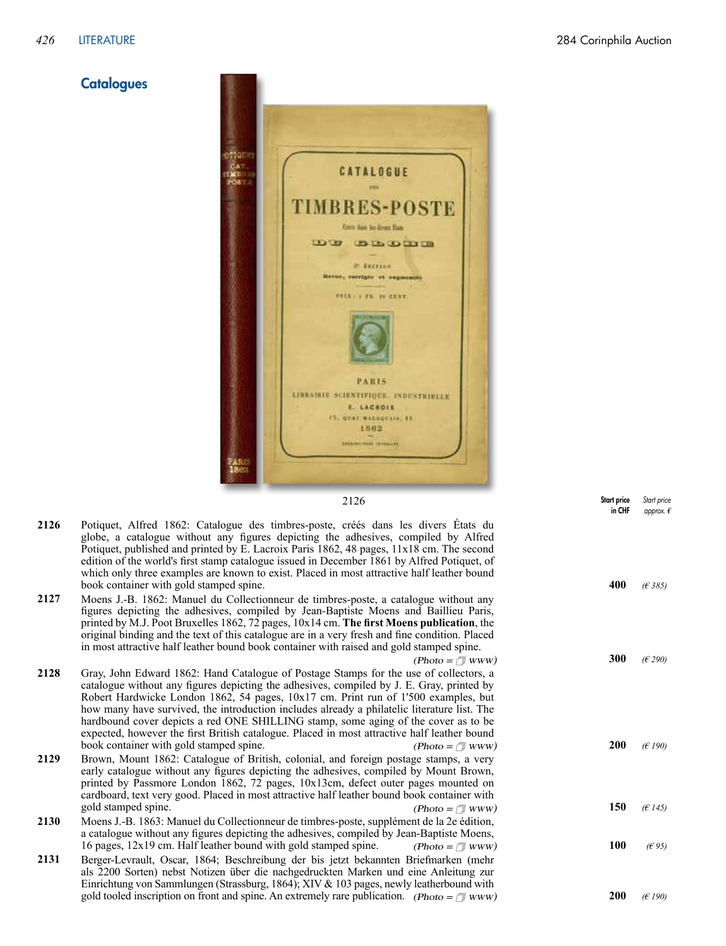# **Catalogues**



2126

| 2126 | Potiquet, Alfred 1862: Catalogue des timbres-poste, créés dans les divers États du          |     |        |
|------|---------------------------------------------------------------------------------------------|-----|--------|
|      | globe, a catalogue without any figures depicting the adhesives, compiled by Alfred          |     |        |
|      | Potiquet, published and printed by E. Lacroix Paris 1862, 48 pages, 11x18 cm. The second    |     |        |
|      | edition of the world's first stamp catalogue issued in December 1861 by Alfred Potiquet, of |     |        |
|      | which only three examples are known to exist. Placed in most attractive half leather bound  |     |        |
|      | book container with gold stamped spine.                                                     | 400 | (E385) |

Moens J.-B. 1862: Manuel du Collectionneur de timbres-poste, a catalogue without any figures depicting the adhesives, compiled by Jean-Baptiste Moens and Baillieu Paris, printed by M.J. Poot Bruxelles 1862, 72 pages, 10x14 cm. **The first Moens publication**, the original binding and the text of this catalogue are in a very fresh and fine condition. Placed in most attractive half leather bound book container with raised and gold stamped spine. **2127**

 $(Photo = \mathcal{D} \quad WW)$  **300** *(€ 290)* 

- Gray, John Edward 1862: Hand Catalogue of Postage Stamps for the use of collectors, a catalogue without any figures depicting the adhesives, compiled by J. E. Gray, printed by Robert Hardwicke London 1862, 54 pages, 10x17 cm. Print run of 1'500 examples, but how many have survived, the introduction includes already a philatelic literature list. The hardbound cover depicts a red ONE SHILLING stamp, some aging of the cover as to be expected, however the first British catalogue. Placed in most attractive half leather bound book container with gold stamped spine. Brown, Mount 1862: Catalogue of British, colonial, and foreign postage stamps, a very **2128**  $(Photo = \text{www})$ **2129**
- early catalogue without any figures depicting the adhesives, compiled by Mount Brown, printed by Passmore London 1862, 72 pages, 10x13cm, defect outer pages mounted on cardboard, text very good. Placed in most attractive half leather bound book container with gold stamped spine.<br>
(Photo =  $\pi$  www gold stamped spine. **150** *(Electronic spine)* **150** *<i>(Electronic spine)* **150** *<i>(Electronic spine)* **150** *<i>(Electronic spine)* **<b>150** *<i>(Electronic spine)* **150**
- Moens J.-B. 1863: Manuel du Collectionneur de timbres-poste, supplément de la 2e édition, a catalogue without any figures depicting the adhesives, compiled by Jean-Baptiste Moens, 16 pages, 12x19 cm. Half leather bound with gold stamped spine. **100** *(€ 95)* **2130**  $(Photo = \text{#}$  www)
- Berger-Levrault, Oscar, 1864; Beschreibung der bis jetzt bekannten Briefmarken (mehr als 2200 Sorten) nebst Notizen über die nachgedruckten Marken und eine Anleitung zur Einrichtung von Sammlungen (Strassburg, 1864); XIV & 103 pages, newly leatherbound with gold tooled inscription on front and spine. An extremely rare publication. **(Photo =**  $\sqrt{N}$  **www)** 200 **(E** 190) **2131**

|     | 400 $(E385)$            |
|-----|-------------------------|
|     | 300 $(E290)$            |
|     | <b>200</b> ( $\in$ 190) |
|     | 150 $(F145)$            |
| 100 | (E95)                   |

Start price in CHF *Start price approx. €*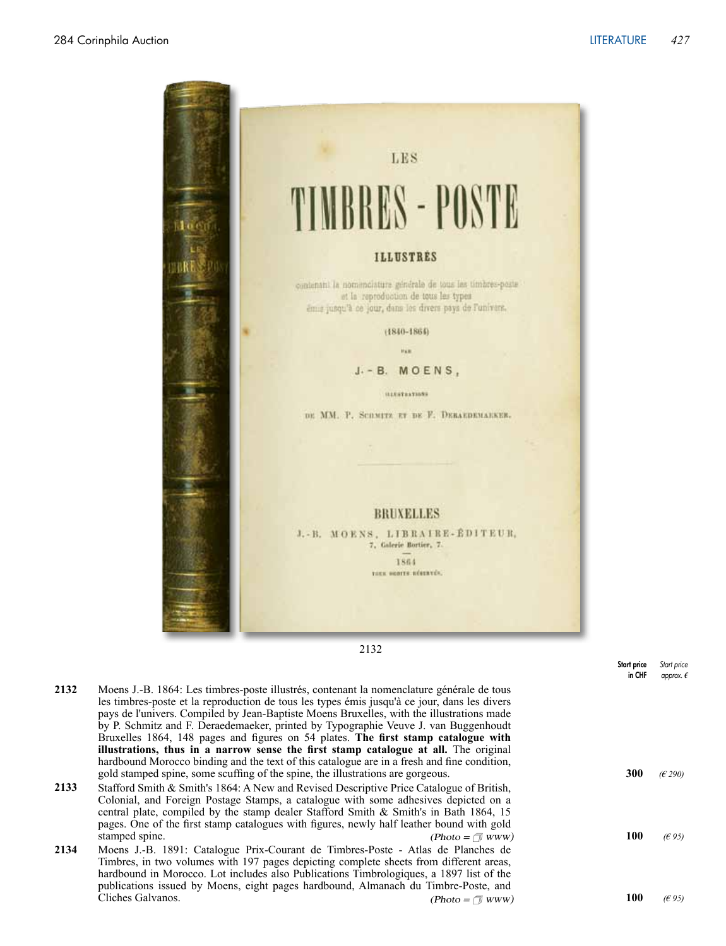

|      |                                                                                                                                                                                                                                                                                                                                                                                                                                                                     | <b>Start price</b><br>in CHF | Start price<br>approx. $\epsilon$ |
|------|---------------------------------------------------------------------------------------------------------------------------------------------------------------------------------------------------------------------------------------------------------------------------------------------------------------------------------------------------------------------------------------------------------------------------------------------------------------------|------------------------------|-----------------------------------|
| 2132 | Moens J.-B. 1864: Les timbres-poste illustrés, contenant la nomenclature générale de tous<br>les timbres-poste et la reproduction de tous les types émis jusqu'à ce jour, dans les divers<br>pays de l'univers. Compiled by Jean-Baptiste Moens Bruxelles, with the illustrations made<br>by P. Schmitz and F. Deraedemaeker, printed by Typographie Veuve J. van Buggenhoudt<br>Bruxelles 1864, 148 pages and figures on 54 plates. The first stamp catalogue with |                              |                                   |
|      | illustrations, thus in a narrow sense the first stamp catalogue at all. The original                                                                                                                                                                                                                                                                                                                                                                                |                              |                                   |
|      | hardbound Morocco binding and the text of this catalogue are in a fresh and fine condition,                                                                                                                                                                                                                                                                                                                                                                         |                              |                                   |
|      | gold stamped spine, some scuffing of the spine, the illustrations are gorgeous.                                                                                                                                                                                                                                                                                                                                                                                     | 300                          | (E290)                            |
| 2133 | Stafford Smith & Smith's 1864: A New and Revised Descriptive Price Catalogue of British,<br>Colonial, and Foreign Postage Stamps, a catalogue with some adhesives depicted on a<br>central plate, compiled by the stamp dealer Stafford Smith & Smith's in Bath 1864, 15<br>pages. One of the first stamp catalogues with figures, newly half leather bound with gold                                                                                               |                              |                                   |
|      | stamped spine.<br>$(Photo = \sqrt{\pi}$ www)                                                                                                                                                                                                                                                                                                                                                                                                                        | 100                          | (E95)                             |
| 2134 | Moens J.-B. 1891: Catalogue Prix-Courant de Timbres-Poste - Atlas de Planches de<br>Timbres, in two volumes with 197 pages depicting complete sheets from different areas,<br>hardbound in Morocco. Lot includes also Publications Timbrologiques, a 1897 list of the<br>publications issued by Moens, eight pages hardbound, Almanach du Timbre-Poste, and                                                                                                         |                              |                                   |
|      | Cliches Galvanos.<br>$(Photo = \sqrt{\pi}$ www)                                                                                                                                                                                                                                                                                                                                                                                                                     | 100                          | (E95)                             |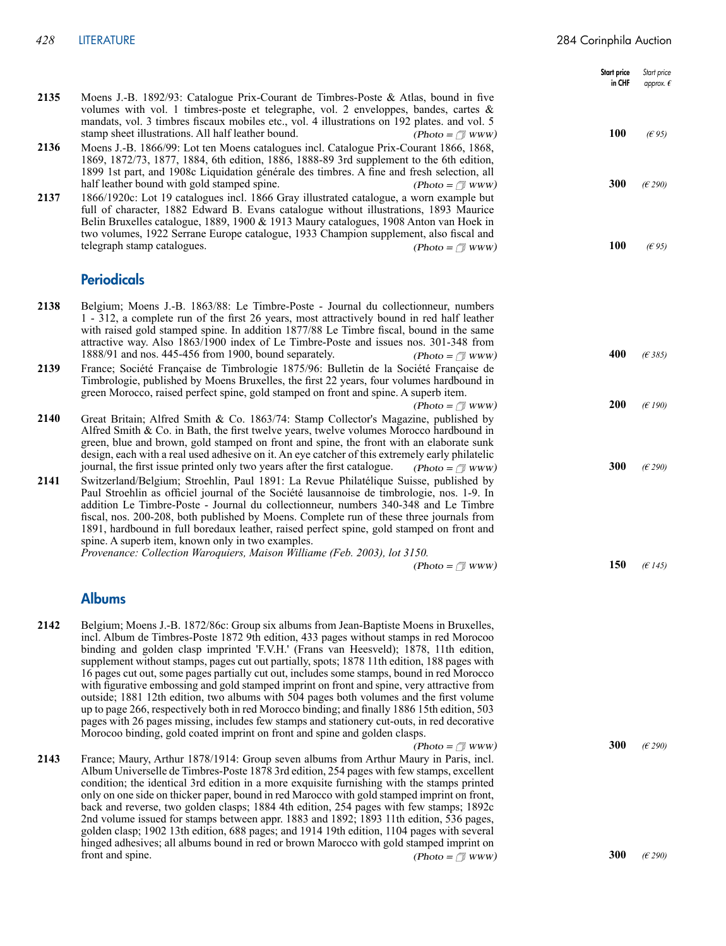|      |                                                                                                                                                                                                                                                                                                                                                                                                                                                                                                                                                                                                                                                                                                                                                                                                                                                                                                                                                | Start price<br>in CHF | Start price<br>approx. $\epsilon$ |
|------|------------------------------------------------------------------------------------------------------------------------------------------------------------------------------------------------------------------------------------------------------------------------------------------------------------------------------------------------------------------------------------------------------------------------------------------------------------------------------------------------------------------------------------------------------------------------------------------------------------------------------------------------------------------------------------------------------------------------------------------------------------------------------------------------------------------------------------------------------------------------------------------------------------------------------------------------|-----------------------|-----------------------------------|
| 2135 | Moens J.-B. 1892/93: Catalogue Prix-Courant de Timbres-Poste & Atlas, bound in five<br>volumes with vol. 1 timbres-poste et telegraphe, vol. 2 enveloppes, bandes, cartes $\&$<br>mandats, vol. 3 timbres fiscaux mobiles etc., vol. 4 illustrations on 192 plates. and vol. 5<br>stamp sheet illustrations. All half leather bound.<br>$(Photo = \sqrt{w}$ www)                                                                                                                                                                                                                                                                                                                                                                                                                                                                                                                                                                               | 100                   | (E95)                             |
| 2136 | Moens J.-B. 1866/99: Lot ten Moens catalogues incl. Catalogue Prix-Courant 1866, 1868,<br>1869, 1872/73, 1877, 1884, 6th edition, 1886, 1888-89 3rd supplement to the 6th edition,<br>1899 1st part, and 1908c Liquidation générale des timbres. A fine and fresh selection, all                                                                                                                                                                                                                                                                                                                                                                                                                                                                                                                                                                                                                                                               |                       |                                   |
| 2137 | half leather bound with gold stamped spine.<br>$(Photo = \sqrt{2}$ www)<br>1866/1920c: Lot 19 catalogues incl. 1866 Gray illustrated catalogue, a worn example but<br>full of character, 1882 Edward B. Evans catalogue without illustrations, 1893 Maurice<br>Belin Bruxelles catalogue, 1889, 1900 & 1913 Maury catalogues, 1908 Anton van Hoek in<br>two volumes, 1922 Serrane Europe catalogue, 1933 Champion supplement, also fiscal and                                                                                                                                                                                                                                                                                                                                                                                                                                                                                                  | 300<br>100            | (E290)                            |
|      | telegraph stamp catalogues.<br>$(Photo = \sqrt{\pi}$ www)                                                                                                                                                                                                                                                                                                                                                                                                                                                                                                                                                                                                                                                                                                                                                                                                                                                                                      |                       | (E95)                             |
|      | <b>Periodicals</b>                                                                                                                                                                                                                                                                                                                                                                                                                                                                                                                                                                                                                                                                                                                                                                                                                                                                                                                             |                       |                                   |
| 2138 | Belgium; Moens J.-B. 1863/88: Le Timbre-Poste - Journal du collectionneur, numbers<br>1 - 312, a complete run of the first 26 years, most attractively bound in red half leather<br>with raised gold stamped spine. In addition 1877/88 Le Timbre fiscal, bound in the same<br>attractive way. Also 1863/1900 index of Le Timbre-Poste and issues nos. 301-348 from<br>1888/91 and nos. 445-456 from 1900, bound separately.<br>$(Photo = \sqrt{w}$ www)                                                                                                                                                                                                                                                                                                                                                                                                                                                                                       | 400                   | (E385)                            |
| 2139 | France; Société Française de Timbrologie 1875/96: Bulletin de la Société Française de<br>Timbrologie, published by Moens Bruxelles, the first 22 years, four volumes hardbound in<br>green Morocco, raised perfect spine, gold stamped on front and spine. A superb item.                                                                                                                                                                                                                                                                                                                                                                                                                                                                                                                                                                                                                                                                      |                       |                                   |
| 2140 | $(Photo = \sqrt{\pi}$ www)<br>Great Britain; Alfred Smith & Co. 1863/74: Stamp Collector's Magazine, published by<br>Alfred Smith & Co. in Bath, the first twelve years, twelve volumes Morocco hardbound in<br>green, blue and brown, gold stamped on front and spine, the front with an elaborate sunk<br>design, each with a real used adhesive on it. An eye catcher of this extremely early philatelic                                                                                                                                                                                                                                                                                                                                                                                                                                                                                                                                    | 200                   | (E190)                            |
| 2141 | journal, the first issue printed only two years after the first catalogue.<br>$(Photo = \sqrt{\pi}$ www)<br>Switzerland/Belgium; Stroehlin, Paul 1891: La Revue Philatélique Suisse, published by<br>Paul Stroehlin as officiel journal of the Société lausannoise de timbrologie, nos. 1-9. In<br>addition Le Timbre-Poste - Journal du collectionneur, numbers 340-348 and Le Timbre<br>fiscal, nos. 200-208, both published by Moens. Complete run of these three journals from<br>1891, hardbound in full boredaux leather, raised perfect spine, gold stamped on front and<br>spine. A superb item, known only in two examples.<br>Provenance: Collection Waroquiers, Maison Williame (Feb. 2003), lot 3150.                                                                                                                                                                                                                              | 300                   | (E290)                            |
|      | $(Photo = \sqrt{\pi}$ www)                                                                                                                                                                                                                                                                                                                                                                                                                                                                                                                                                                                                                                                                                                                                                                                                                                                                                                                     | 150                   | (E145)                            |
|      | <b>Albums</b>                                                                                                                                                                                                                                                                                                                                                                                                                                                                                                                                                                                                                                                                                                                                                                                                                                                                                                                                  |                       |                                   |
| 2142 | Belgium; Moens J.-B. 1872/86c: Group six albums from Jean-Baptiste Moens in Bruxelles,<br>incl. Album de Timbres-Poste 1872 9th edition, 433 pages without stamps in red Morocoo<br>binding and golden clasp imprinted 'F.V.H.' (Frans van Heesveld); 1878, 11th edition,<br>supplement without stamps, pages cut out partially, spots; 1878 11th edition, 188 pages with<br>16 pages cut out, some pages partially cut out, includes some stamps, bound in red Morocco<br>with figurative embossing and gold stamped imprint on front and spine, very attractive from<br>outside; 1881 12th edition, two albums with 504 pages both volumes and the first volume<br>up to page 266, respectively both in red Morocco binding; and finally 1886 15th edition, 503<br>pages with 26 pages missing, includes few stamps and stationery cut-outs, in red decorative<br>Morocoo binding, gold coated imprint on front and spine and golden clasps. | 300                   |                                   |
| 2143 | $(Photo = \mathcal{r}$ www)<br>France; Maury, Arthur 1878/1914: Group seven albums from Arthur Maury in Paris, incl.<br>Album Universelle de Timbres-Poste 1878 3rd edition, 254 pages with few stamps, excellent<br>condition; the identical 3rd edition in a more exquisite furnishing with the stamps printed<br>only on one side on thicker paper, bound in red Marocco with gold stamped imprint on front,<br>back and reverse, two golden clasps; 1884 4th edition, 254 pages with few stamps; 1892c<br>2nd volume issued for stamps between appr. 1883 and 1892; 1893 11th edition, 536 pages,<br>golden clasp; 1902 13th edition, 688 pages; and 1914 19th edition, 1104 pages with several                                                                                                                                                                                                                                            |                       | (E290)                            |

hinged adhesives; all albums bound in red or brown Marocco with gold stamped imprint on

front and spine. **300** *(E290)* **300** *(E290)* **300** *(E290)*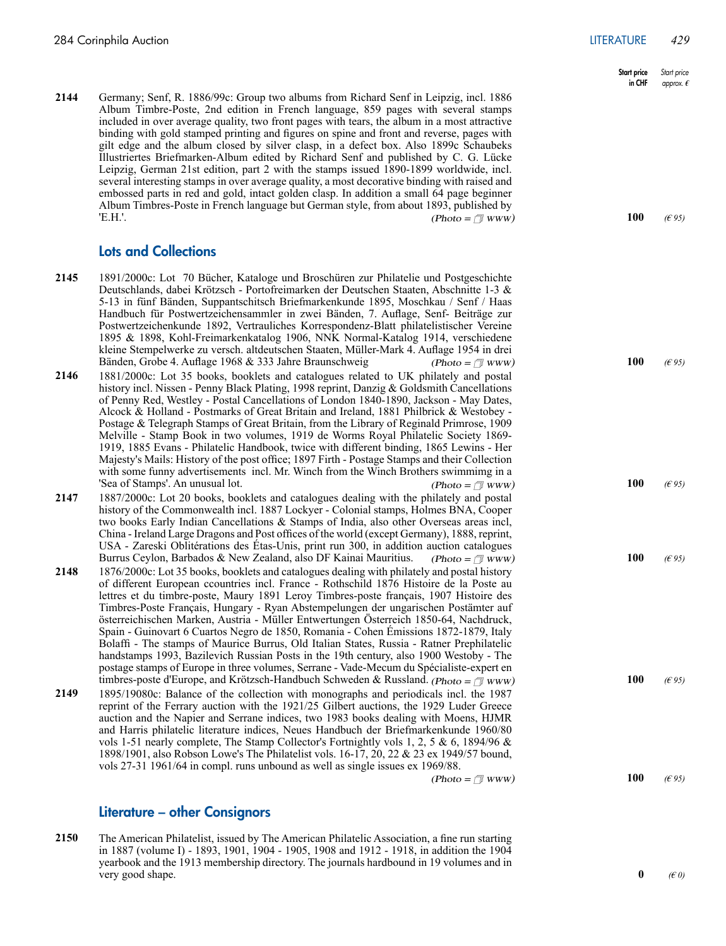**2145**

**2146**

**2147**

**2148**

- Start price in CHF *Start price approx. €* Germany; Senf, R. 1886/99c: Group two albums from Richard Senf in Leipzig, incl. 1886 Album Timbre-Poste, 2nd edition in French language, 859 pages with several stamps included in over average quality, two front pages with tears, the album in a most attractive binding with gold stamped printing and figures on spine and front and reverse, pages with gilt edge and the album closed by silver clasp, in a defect box. Also 1899c Schaubeks Illustriertes Briefmarken-Album edited by Richard Senf and published by C. G. Lücke Leipzig, German 21st edition, part 2 with the stamps issued 1890-1899 worldwide, incl. several interesting stamps in over average quality, a most decorative binding with raised and embossed parts in red and gold, intact golden clasp. In addition a small 64 page beginner Album Timbres-Poste in French language but German style, from about 1893, published by  $E_H$ . **E.H.'. 100** *(€ 95)* **100** *(6 95)* Lots and Collections 1891/2000c: Lot 70 Bücher, Kataloge und Broschüren zur Philatelie und Postgeschichte Deutschlands, dabei Krötzsch - Portofreimarken der Deutschen Staaten, Abschnitte 1-3 & 5-13 in fünf Bänden, Suppantschitsch Briefmarkenkunde 1895, Moschkau / Senf / Haas Handbuch für Postwertzeichensammler in zwei Bänden, 7. Auflage, Senf- Beiträge zur Postwertzeichenkunde 1892, Vertrauliches Korrespondenz-Blatt philatelistischer Vereine 1895 & 1898, Kohl-Freimarkenkatalog 1906, NNK Normal-Katalog 1914, verschiedene kleine Stempelwerke zu versch. altdeutschen Staaten, Müller-Mark 4. Auflage 1954 in drei Bänden, Grobe 4. Auflage 1968 & 333 Jahre Braunschweig *(Photo =*  $\sqrt{\frac{m_{WW}}{m_{yy}}}$  *100 (€ 95)* 1881/2000c: Lot 35 books, booklets and catalogues related to UK philately and postal history incl. Nissen - Penny Black Plating, 1998 reprint, Danzig & Goldsmith Cancellations of Penny Red, Westley - Postal Cancellations of London 1840-1890, Jackson - May Dates, Alcock & Holland - Postmarks of Great Britain and Ireland, 1881 Philbrick & Westobey - Postage & Telegraph Stamps of Great Britain, from the Library of Reginald Primrose, 1909 Melville - Stamp Book in two volumes, 1919 de Worms Royal Philatelic Society 1869- 1919, 1885 Evans - Philatelic Handbook, twice with different binding, 1865 Lewins - Her Majesty's Mails: History of the post office; 1897 Firth - Postage Stamps and their Collection with some funny advertisements incl. Mr. Winch from the Winch Brothers swimmimg in a 'Sea of Stamps'. An unusual lot. **100** *(Exemplement)* **100** *(Exemplement)* **100** *(Eqs.*) 1887/2000c: Lot 20 books, booklets and catalogues dealing with the philately and postal history of the Commonwealth incl. 1887 Lockyer - Colonial stamps, Holmes BNA, Cooper two books Early Indian Cancellations & Stamps of India, also other Overseas areas incl, China - Ireland Large Dragons and Post offices of the world (except Germany), 1888, reprint, USA - Zareski Oblitérations des Étas-Unis, print run 300, in addition auction catalogues Burrus Ceylon, Barbados & New Zealand, also DF Kainai Mauritius. *(Photo =*  $\sqrt{\frac{m_{WW}}{m_{WW}}}$  *100 (€ 95)* 1876/2000c: Lot 35 books, booklets and catalogues dealing with philately and postal history of different European ccountries incl. France - Rothschild 1876 Histoire de la Poste au lettres et du timbre-poste, Maury 1891 Leroy Timbres-poste français, 1907 Histoire des Timbres-Poste Français, Hungary - Ryan Abstempelungen der ungarischen Postämter auf österreichischen Marken, Austria - Müller Entwertungen Österreich 1850-64, Nachdruck, Spain - Guinovart 6 Cuartos Negro de 1850, Romania - Cohen Émissions 1872-1879, Italy Bolaffi - The stamps of Maurice Burrus, Old Italian States, Russia - Ratner Prephilatelic handstamps 1993, Bazilevich Russian Posts in the 19th century, also 1900 Westoby - The postage stamps of Europe in three volumes, Serrane - Vade-Mecum du Spécialiste-expert en  $(Photo = \Box$  www)  $(Photo = \textcircled{1}$  www)  $(Photo = \text{www})$
- timbres-poste d'Europe, and Krötzsch-Handbuch Schweden & Russland.  $(Photo = \mathcal{D}www)$  100  $(695)$ 1895/19080c: Balance of the collection with monographs and periodicals incl. the 1987 reprint of the Ferrary auction with the 1921/25 Gilbert auctions, the 1929 Luder Greece auction and the Napier and Serrane indices, two 1983 books dealing with Moens, HJMR and Harris philatelic literature indices, Neues Handbuch der Briefmarkenkunde 1960/80 vols 1-51 nearly complete, The Stamp Collector's Fortnightly vols 1, 2, 5 & 6, 1894/96 & 1898/1901, also Robson Lowe's The Philatelist vols. 16-17, 20, 22 & 23 ex 1949/57 bound, vols 27-31 1961/64 in compl. runs unbound as well as single issues ex 1969/88. **2149**

 $(Photo = \mathcal{D} \quad WW)$  **100** *(€ 95)* 

## Literature – other Consignors

The American Philatelist, issued by The American Philatelic Association, a fine run starting in 1887 (volume I) - 1893, 1901, 1904 - 1905, 1908 and 1912 - 1918, in addition the 1904 yearbook and the 1913 membership directory. The journals hardbound in 19 volumes and in very good shape. **0**  $(e^{i\theta})$ **2150**